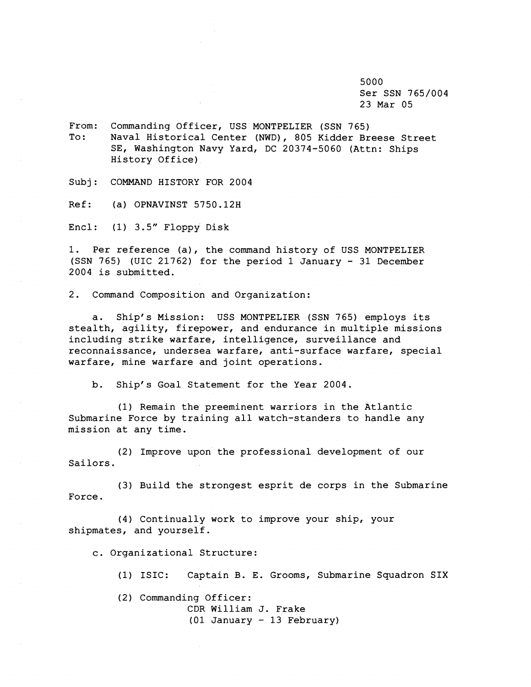5000 Ser SSN 765/004 23 Mar 05

From: Commanding Officer, USS MONTPELIER (SSN 765) To: Naval Historical Center (NWD), 805 Kidder Breese Street SE, Washington Navy Yard, DC 20374-5060 (Attn: Ships History Office)

Subj: COMMAND HISTORY FOR 2004

Ref: (a) OPNAVINST 5750.12H

 $Encl:$  (1)  $3.5''$   $Floppy$   $Disk$ 

1. Per reference (a), the command history of USS MONTPELIER (SSN 765) (UIC 21762) for the period 1 January - 31 December 2004 is submitted.

2. Command Composition and Organization:

a. Ship's Mission: USS MONTPELIER (SSN 765) employs its stealth, agility, firepower, and endurance in multiple missions including strike warfare, intelligence, surveillance and reconnaissance, undersea warfare, anti-surface warfare, special warfare, mine warfare and joint operations.

b. Ship's Goal Statement for the Year 2004.

(1) Remain the preeminent warriors in the Atlantic Submarine Force by training all watch-standers to handle any mission at any time.

(2) Improve upon the professional development of our Sailors.

(3) Build the strongest esprit de corps in the Submarine Force.

(4) Continually work to improve your ship, your shipmates, and yourself.

c. Organizational Structure:

(1) ISIC: Captain B. E. Grooms, Submarine Squadron SIX

(2) Commanding Officer:

CDR William J. Frake (01 January - 13 February)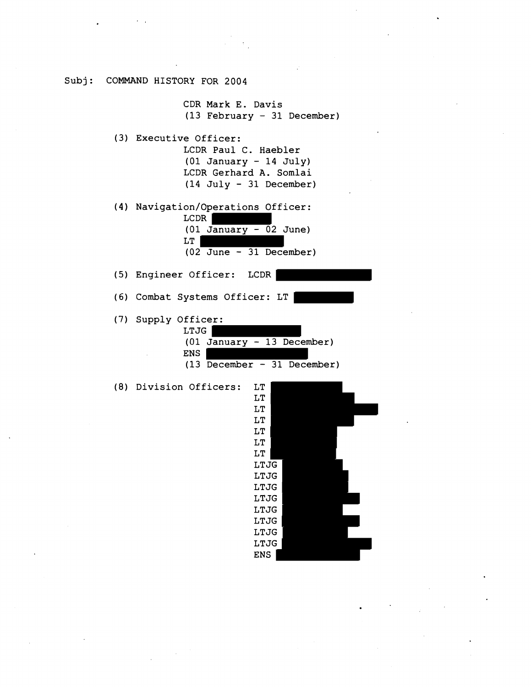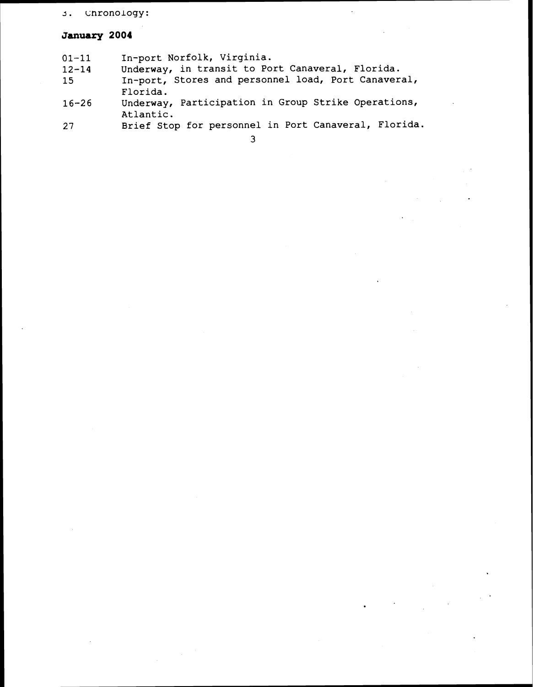# 3. Chronology:

# **January 2004**

| 01-11 |  | In-port Norfolk, Virginia. |
|-------|--|----------------------------|
|-------|--|----------------------------|

- 12-14 Underway, in transit to Port Canaveral, Florida.
- 15 In-port, Stores and personnel load, Port Canaveral, Florida.
- 16-26 Underway, Participation in Group Strike Operations, Atlantic.
- 27 Brief Stop for personnel in Port Canaveral, Florida.

**3**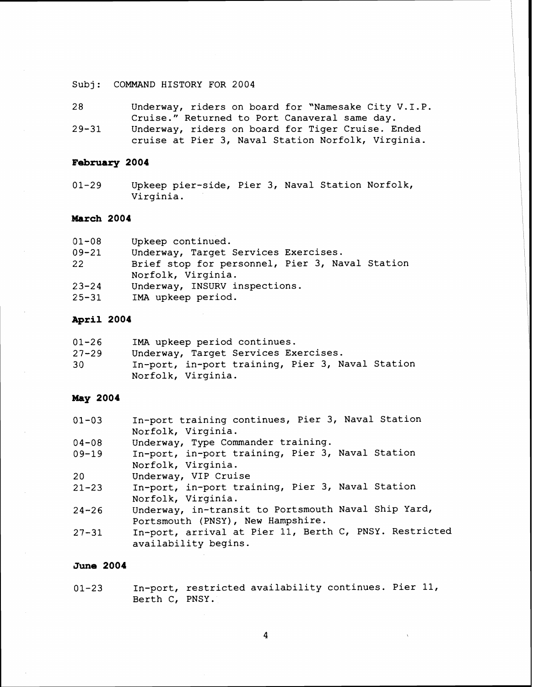Subj: COMMAND HISTORY FOR 2004

28 Underway, riders on board for "Namesake City V.I.P. Cruise." Returned to Port Canaveral same day. 29-31 Underway, riders on board for Tiger Cruise. Ended cruise at Pier 3, Naval Station Norfolk, Virginia.

### **February 2004**

01-29 Upkeep pier-side, Pier 3, Naval Station Norfolk, Virginia.

### **March 2004**

| $01 - 08$ | Upkeep continued.                                                     |
|-----------|-----------------------------------------------------------------------|
| $09 - 21$ | Underway, Target Services Exercises.                                  |
| 22        | Brief stop for personnel, Pier 3, Naval Station<br>Norfolk, Virginia. |
| $23 - 24$ | Underway, INSURV inspections.                                         |
| $25 - 31$ | IMA upkeep period.                                                    |

## **April 2004**

| $01 - 26$ | IMA upkeep period continues.                     |
|-----------|--------------------------------------------------|
| $27 - 29$ | Underway, Target Services Exercises.             |
| 30        | In-port, in-port training, Pier 3, Naval Station |
|           | Norfolk, Virginia.                               |

### May 2004

| $01 - 03$ | In-port training continues, Pier 3, Naval Station      |
|-----------|--------------------------------------------------------|
|           | Norfolk, Virginia.                                     |
| $04 - 08$ | Underway, Type Commander training.                     |
| $09 - 19$ | In-port, in-port training, Pier 3, Naval Station       |
|           | Norfolk, Virginia.                                     |
| 20        | Underway, VIP Cruise                                   |
| $21 - 23$ | In-port, in-port training, Pier 3, Naval Station       |
|           | Norfolk, Virginia.                                     |
| $24 - 26$ | Underway, in-transit to Portsmouth Naval Ship Yard,    |
|           | Portsmouth (PNSY), New Hampshire.                      |
| $27 - 31$ | In-port, arrival at Pier 11, Berth C, PNSY. Restricted |
|           | availability begins.                                   |

## **June 2004**

01-23 In-port, restricted availability continues. Pier 11, Berth C, PNSY.